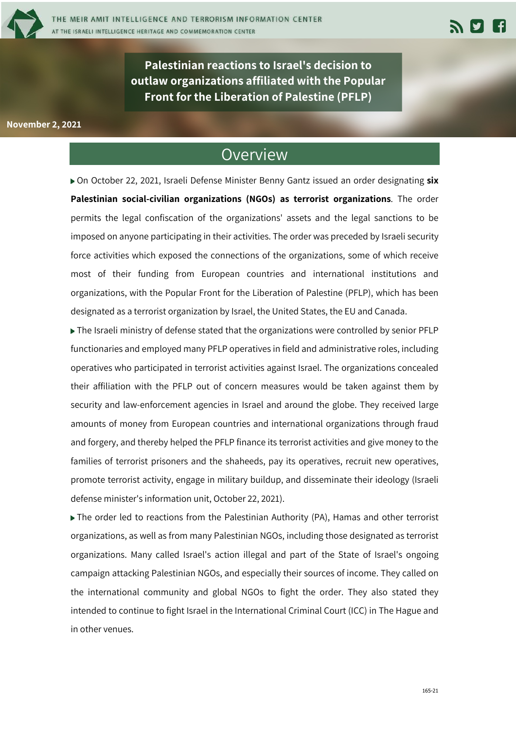

**Palestinian reactions to Israel's decision to outlaw organizations affiliated with the Popular Front for the Liberation of Palestine (PFLP)**

#### **November 2, 2021**

### Overview

▶ On October 22, 2021, Israeli Defense Minister Benny Gantz issued an order designating six **Palestinian social-civilian organizations (NGOs) as terrorist organizations**. The order permits the legal confiscation of the organizations' assets and the legal sanctions to be imposed on anyone participating in their activities. The order was preceded by Israeli security force activities which exposed the connections of the organizations, some of which receive most of their funding from European countries and international institutions and organizations, with the Popular Front for the Liberation of Palestine (PFLP), which has been designated as a terrorist organization by Israel, the United States, the EU and Canada.

The Israeli ministry of defense stated that the organizations were controlled by senior PFLP functionaries and employed many PFLP operatives in field and administrative roles, including operatives who participated in terrorist activities against Israel. The organizations concealed their affiliation with the PFLP out of concern measures would be taken against them by security and law-enforcement agencies in Israel and around the globe. They received large amounts of money from European countries and international organizations through fraud and forgery, and thereby helped the PFLP finance its terrorist activities and give money to the families of terrorist prisoners and the shaheeds, pay its operatives, recruit new operatives, promote terrorist activity, engage in military buildup, and disseminate their ideology (Israeli defense minister's information unit, October 22, 2021).

▶ The order led to reactions from the Palestinian Authority (PA), Hamas and other terrorist organizations, as well as from many Palestinian NGOs, including those designated as terrorist organizations. Many called Israel's action illegal and part of the State of Israel's ongoing campaign attacking Palestinian NGOs, and especially their sources of income. They called on the international community and global NGOs to fight the order. They also stated they intended to continue to fight Israel in the International Criminal Court (ICC) in The Hague and in other venues.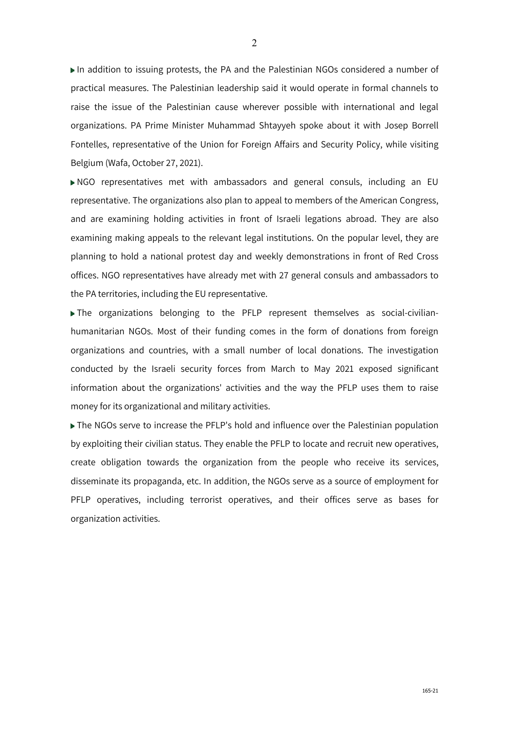In addition to issuing protests, the PA and the Palestinian NGOs considered a number of practical measures. The Palestinian leadership said it would operate in formal channels to raise the issue of the Palestinian cause wherever possible with international and legal organizations. PA Prime Minister Muhammad Shtayyeh spoke about it with Josep Borrell Fontelles, representative of the Union for Foreign Affairs and Security Policy, while visiting Belgium (Wafa, October 27, 2021).

NGO representatives met with ambassadors and general consuls, including an EU representative. The organizations also plan to appeal to members of the American Congress, and are examining holding activities in front of Israeli legations abroad. They are also examining making appeals to the relevant legal institutions. On the popular level, they are planning to hold a national protest day and weekly demonstrations in front of Red Cross offices. NGO representatives have already met with 27 general consuls and ambassadors to the PA territories, including the EU representative.

The organizations belonging to the PFLP represent themselves as social-civilianhumanitarian NGOs. Most of their funding comes in the form of donations from foreign organizations and countries, with a small number of local donations. The investigation conducted by the Israeli security forces from March to May 2021 exposed significant information about the organizations' activities and the way the PFLP uses them to raise money for its organizational and military activities.

The NGOs serve to increase the PFLP's hold and influence over the Palestinian population by exploiting their civilian status. They enable the PFLP to locate and recruit new operatives, create obligation towards the organization from the people who receive its services, disseminate its propaganda, etc. In addition, the NGOs serve as a source of employment for PFLP operatives, including terrorist operatives, and their offices serve as bases for organization activities.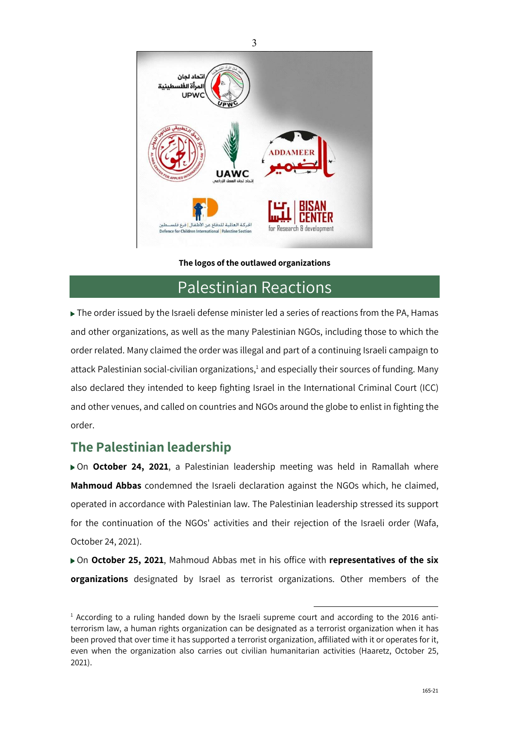

#### **The logos of the outlawed organizations**

### Palestinian Reactions

The order issued by the Israeli defense minister led a series of reactions from the PA, Hamas and other organizations, as well as the many Palestinian NGOs, including those to which the order related. Many claimed the order was illegal and part of a continuing Israeli campaign to attack Palestinian social-civilian organizations,<sup>1</sup> and especially their sources of funding. Many also declared they intended to keep fighting Israel in the International Criminal Court (ICC) and other venues, and called on countries and NGOs around the globe to enlist in fighting the order.

### **The Palestinian leadership**

On **October 24, 2021**, a Palestinian leadership meeting was held in Ramallah where **Mahmoud Abbas** condemned the Israeli declaration against the NGOs which, he claimed, operated in accordance with Palestinian law. The Palestinian leadership stressed its support for the continuation of the NGOs' activities and their rejection of the Israeli order (Wafa, October 24, 2021).

▶ On October 25, 2021, Mahmoud Abbas met in his office with representatives of the six **organizations** designated by Israel as terrorist organizations. Other members of the

<sup>&</sup>lt;sup>1</sup> According to a ruling handed down by the Israeli supreme court and according to the 2016 antiterrorism law, a human rights organization can be designated as a terrorist organization when it has been proved that over time it has supported a terrorist organization, affiliated with it or operates for it, even when the organization also carries out civilian humanitarian activities (Haaretz, October 25, 2021).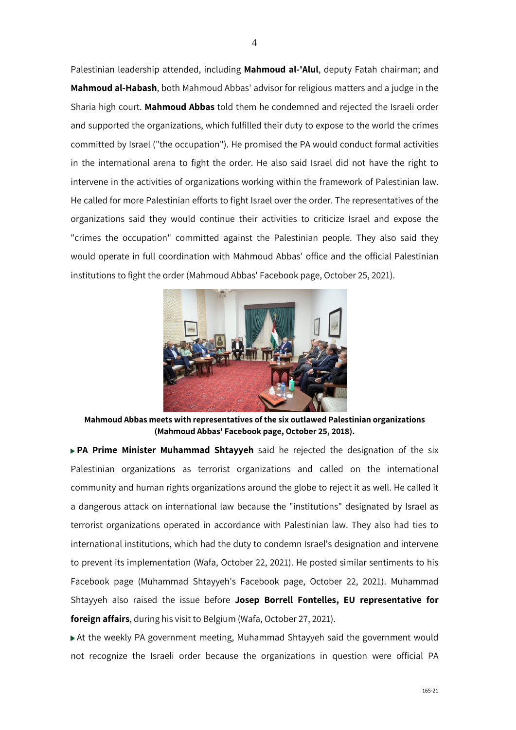Palestinian leadership attended, including **Mahmoud al-'Alul**, deputy Fatah chairman; and **Mahmoud al-Habash**, both Mahmoud Abbas' advisor for religious matters and a judge in the Sharia high court. **Mahmoud Abbas** told them he condemned and rejected the Israeli order and supported the organizations, which fulfilled their duty to expose to the world the crimes committed by Israel ("the occupation"). He promised the PA would conduct formal activities in the international arena to fight the order. He also said Israel did not have the right to intervene in the activities of organizations working within the framework of Palestinian law. He called for more Palestinian efforts to fight Israel over the order. The representatives of the organizations said they would continue their activities to criticize Israel and expose the "crimes the occupation" committed against the Palestinian people. They also said they would operate in full coordination with Mahmoud Abbas' office and the official Palestinian institutions to fight the order (Mahmoud Abbas' Facebook page, October 25, 2021).



**Mahmoud Abbas meets with representatives of the six outlawed Palestinian organizations (Mahmoud Abbas' Facebook page, October 25, 2018).**

**PA Prime Minister Muhammad Shtayyeh** said he rejected the designation of the six Palestinian organizations as terrorist organizations and called on the international community and human rights organizations around the globe to reject it as well. He called it a dangerous attack on international law because the "institutions" designated by Israel as terrorist organizations operated in accordance with Palestinian law. They also had ties to international institutions, which had the duty to condemn Israel's designation and intervene to prevent its implementation (Wafa, October 22, 2021). He posted similar sentiments to his Facebook page (Muhammad Shtayyeh's Facebook page, October 22, 2021). Muhammad Shtayyeh also raised the issue before **Josep Borrell Fontelles, EU representative for foreign affairs**, during his visit to Belgium (Wafa, October 27, 2021).

At the weekly PA government meeting, Muhammad Shtayyeh said the government would not recognize the Israeli order because the organizations in question were official PA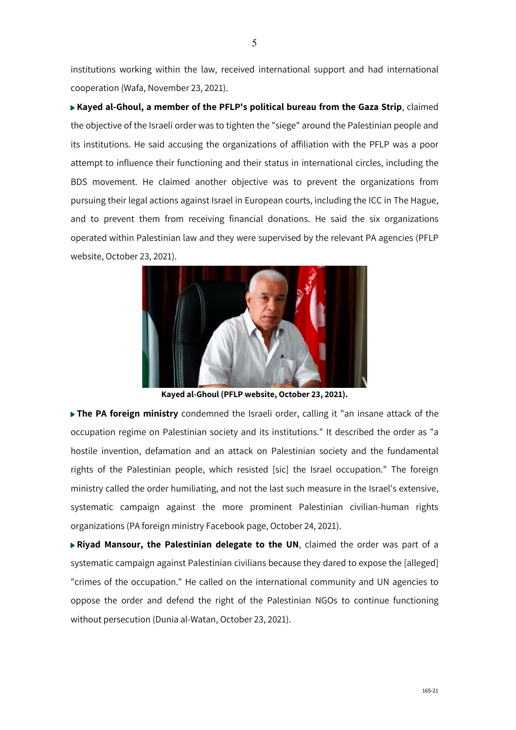institutions working within the law, received international support and had international cooperation (Wafa, November 23, 2021).

**Kayed al-Ghoul, a member of the PFLP's political bureau from the Gaza Strip**, claimed the objective of the Israeli order was to tighten the "siege" around the Palestinian people and its institutions. He said accusing the organizations of affiliation with the PFLP was a poor attempt to influence their functioning and their status in international circles, including the BDS movement. He claimed another objective was to prevent the organizations from pursuing their legal actions against Israel in European courts, including the ICC in The Hague, and to prevent them from receiving financial donations. He said the six organizations operated within Palestinian law and they were supervised by the relevant PA agencies (PFLP website, October 23, 2021).



**Kayed al-Ghoul (PFLP website, October 23, 2021).**

**The PA foreign ministry** condemned the Israeli order, calling it "an insane attack of the occupation regime on Palestinian society and its institutions." It described the order as "a hostile invention, defamation and an attack on Palestinian society and the fundamental rights of the Palestinian people, which resisted [sic] the Israel occupation." The foreign ministry called the order humiliating, and not the last such measure in the Israel's extensive, systematic campaign against the more prominent Palestinian civilian-human rights organizations (PA foreign ministry Facebook page, October 24, 2021).

**Riyad Mansour, the Palestinian delegate to the UN**, claimed the order was part of a systematic campaign against Palestinian civilians because they dared to expose the [alleged] "crimes of the occupation." He called on the international community and UN agencies to oppose the order and defend the right of the Palestinian NGOs to continue functioning without persecution (Dunia al-Watan, October 23, 2021).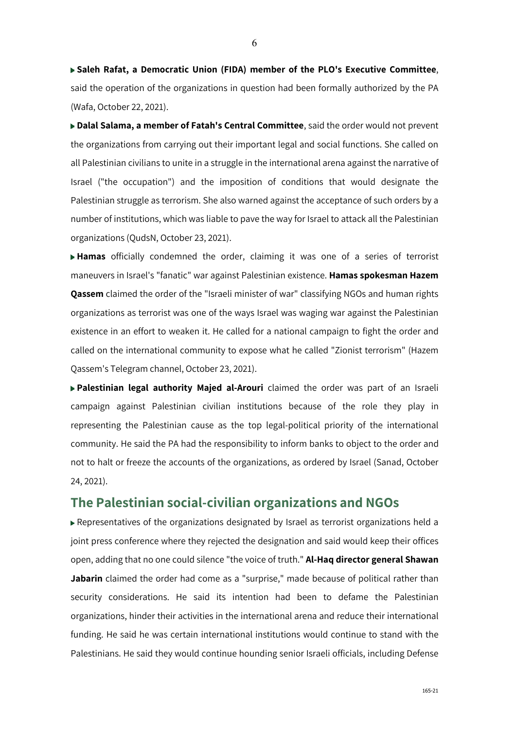**Saleh Rafat, a Democratic Union (FIDA) member of the PLO's Executive Committee**, said the operation of the organizations in question had been formally authorized by the PA (Wafa, October 22, 2021).

**Dalal Salama, a member of Fatah's Central Committee**, said the order would not prevent the organizations from carrying out their important legal and social functions. She called on all Palestinian civilians to unite in a struggle in the international arena against the narrative of Israel ("the occupation") and the imposition of conditions that would designate the Palestinian struggle as terrorism. She also warned against the acceptance of such orders by a number of institutions, which was liable to pave the way for Israel to attack all the Palestinian organizations (QudsN, October 23, 2021).

**Hamas** officially condemned the order, claiming it was one of a series of terrorist maneuvers in Israel's "fanatic" war against Palestinian existence. **Hamas spokesman Hazem Qassem** claimed the order of the "Israeli minister of war" classifying NGOs and human rights organizations as terrorist was one of the ways Israel was waging war against the Palestinian existence in an effort to weaken it. He called for a national campaign to fight the order and called on the international community to expose what he called "Zionist terrorism" (Hazem Qassem's Telegram channel, October 23, 2021).

**Palestinian legal authority Majed al-Arouri** claimed the order was part of an Israeli campaign against Palestinian civilian institutions because of the role they play in representing the Palestinian cause as the top legal-political priority of the international community. He said the PA had the responsibility to inform banks to object to the order and not to halt or freeze the accounts of the organizations, as ordered by Israel (Sanad, October 24, 2021).

### **The Palestinian social-civilian organizations and NGOs**

Representatives of the organizations designated by Israel as terrorist organizations held a joint press conference where they rejected the designation and said would keep their offices open, adding that no one could silence "the voice of truth." **Al-Haq director general Shawan**  Jabarin claimed the order had come as a "surprise," made because of political rather than security considerations. He said its intention had been to defame the Palestinian organizations, hinder their activities in the international arena and reduce their international funding. He said he was certain international institutions would continue to stand with the Palestinians. He said they would continue hounding senior Israeli officials, including Defense

6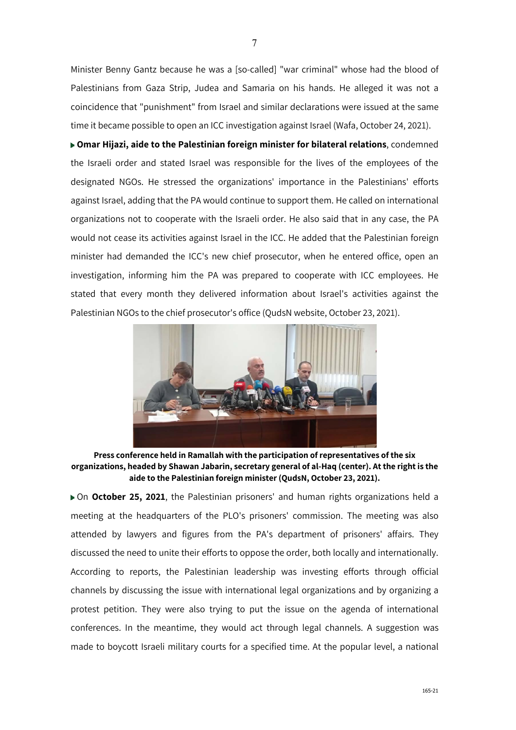Minister Benny Gantz because he was a [so-called] "war criminal" whose had the blood of Palestinians from Gaza Strip, Judea and Samaria on his hands. He alleged it was not a coincidence that "punishment" from Israel and similar declarations were issued at the same time it became possible to open an ICC investigation against Israel (Wafa, October 24, 2021).

**Omar Hijazi, aide to the Palestinian foreign minister for bilateral relations**, condemned the Israeli order and stated Israel was responsible for the lives of the employees of the designated NGOs. He stressed the organizations' importance in the Palestinians' efforts against Israel, adding that the PA would continue to support them. He called on international organizations not to cooperate with the Israeli order. He also said that in any case, the PA would not cease its activities against Israel in the ICC. He added that the Palestinian foreign minister had demanded the ICC's new chief prosecutor, when he entered office, open an investigation, informing him the PA was prepared to cooperate with ICC employees. He stated that every month they delivered information about Israel's activities against the Palestinian NGOs to the chief prosecutor's office (QudsN website, October 23, 2021).



**Press conference held in Ramallah with the participation of representatives of the six organizations, headed by Shawan Jabarin, secretary general of al-Haq (center). At the right is the aide to the Palestinian foreign minister (QudsN, October 23, 2021).**

On **October 25, 2021**, the Palestinian prisoners' and human rights organizations held a meeting at the headquarters of the PLO's prisoners' commission. The meeting was also attended by lawyers and figures from the PA's department of prisoners' affairs. They discussed the need to unite their efforts to oppose the order, both locally and internationally. According to reports, the Palestinian leadership was investing efforts through official channels by discussing the issue with international legal organizations and by organizing a protest petition. They were also trying to put the issue on the agenda of international conferences. In the meantime, they would act through legal channels. A suggestion was made to boycott Israeli military courts for a specified time. At the popular level, a national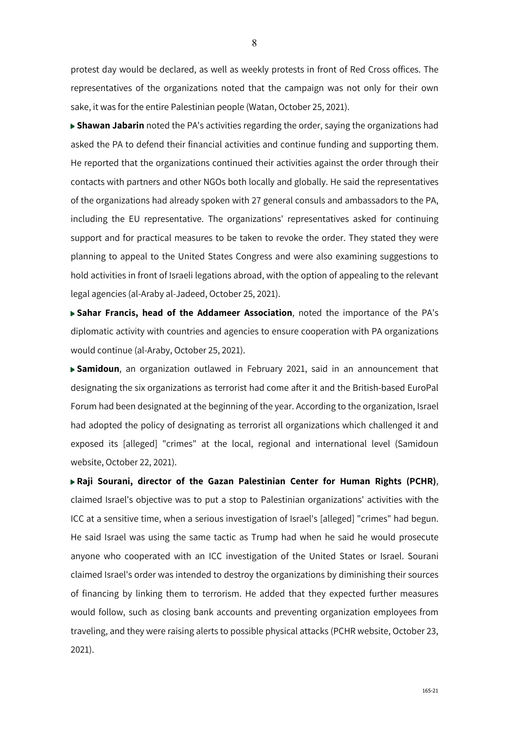protest day would be declared, as well as weekly protests in front of Red Cross offices. The representatives of the organizations noted that the campaign was not only for their own sake, it was for the entire Palestinian people (Watan, October 25, 2021).

**Shawan Jabarin** noted the PA's activities regarding the order, saying the organizations had asked the PA to defend their financial activities and continue funding and supporting them. He reported that the organizations continued their activities against the order through their contacts with partners and other NGOs both locally and globally. He said the representatives of the organizations had already spoken with 27 general consuls and ambassadors to the PA, including the EU representative. The organizations' representatives asked for continuing support and for practical measures to be taken to revoke the order. They stated they were planning to appeal to the United States Congress and were also examining suggestions to hold activities in front of Israeli legations abroad, with the option of appealing to the relevant legal agencies (al-Araby al-Jadeed, October 25, 2021).

**Sahar Francis, head of the Addameer Association**, noted the importance of the PA's diplomatic activity with countries and agencies to ensure cooperation with PA organizations would continue (al-Araby, October 25, 2021).

**Samidoun**, an organization outlawed in February 2021, said in an announcement that designating the six organizations as terrorist had come after it and the British-based EuroPal Forum had been designated at the beginning of the year. According to the organization, Israel had adopted the policy of designating as terrorist all organizations which challenged it and exposed its [alleged] "crimes" at the local, regional and international level (Samidoun website, October 22, 2021).

**Raji Sourani, director of the Gazan Palestinian Center for Human Rights (PCHR)**, claimed Israel's objective was to put a stop to Palestinian organizations' activities with the ICC at a sensitive time, when a serious investigation of Israel's [alleged] "crimes" had begun. He said Israel was using the same tactic as Trump had when he said he would prosecute anyone who cooperated with an ICC investigation of the United States or Israel. Sourani claimed Israel's order was intended to destroy the organizations by diminishing their sources of financing by linking them to terrorism. He added that they expected further measures would follow, such as closing bank accounts and preventing organization employees from traveling, and they were raising alerts to possible physical attacks (PCHR website, October 23, 2021).

8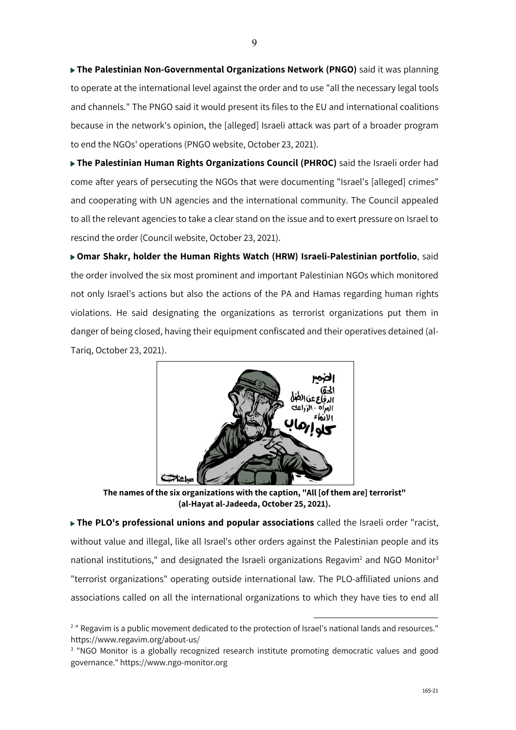**The Palestinian Non-Governmental Organizations Network (PNGO)** said it was planning to operate at the international level against the order and to use "all the necessary legal tools and channels." The PNGO said it would present its files to the EU and international coalitions because in the network's opinion, the [alleged] Israeli attack was part of a broader program to end the NGOs' operations (PNGO website, October 23, 2021).

**The Palestinian Human Rights Organizations Council (PHROC)** said the Israeli order had come after years of persecuting the NGOs that were documenting "Israel's [alleged] crimes" and cooperating with UN agencies and the international community. The Council appealed to all the relevant agencies to take a clear stand on the issue and to exert pressure on Israel to rescind the order (Council website, October 23, 2021).

**Omar Shakr, holder the Human Rights Watch (HRW) Israeli-Palestinian portfolio**, said the order involved the six most prominent and important Palestinian NGOs which monitored not only Israel's actions but also the actions of the PA and Hamas regarding human rights violations. He said designating the organizations as terrorist organizations put them in danger of being closed, having their equipment confiscated and their operatives detained (al-Tariq, October 23, 2021).



**The names of the six organizations with the caption, "All [of them are] terrorist" (al-Hayat al-Jadeeda, October 25, 2021).** 

**The PLO's professional unions and popular associations** called the Israeli order "racist, without value and illegal, like all Israel's other orders against the Palestinian people and its national institutions," and designated the Israeli organizations Regavim<sup>2</sup> and NGO Monitor<sup>3</sup> "terrorist organizations" operating outside international law. The PLO-affiliated unions and associations called on all the international organizations to which they have ties to end all

<sup>&</sup>lt;sup>2</sup> " Regavim is a public movement dedicated to the protection of Israel's national lands and resources." https://www.regavim.org/about-us/

<sup>&</sup>lt;sup>3</sup> "NGO Monitor is a globally recognized research institute promoting democratic values and good governance." https://www.ngo-monitor.org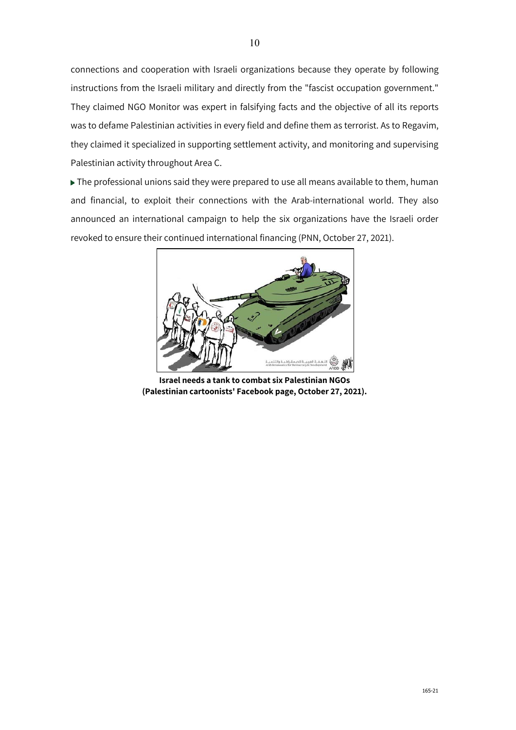connections and cooperation with Israeli organizations because they operate by following instructions from the Israeli military and directly from the "fascist occupation government." They claimed NGO Monitor was expert in falsifying facts and the objective of all its reports was to defame Palestinian activities in every field and define them as terrorist. As to Regavim, they claimed it specialized in supporting settlement activity, and monitoring and supervising Palestinian activity throughout Area C.

 $\blacktriangleright$  The professional unions said they were prepared to use all means available to them, human and financial, to exploit their connections with the Arab-international world. They also announced an international campaign to help the six organizations have the Israeli order revoked to ensure their continued international financing (PNN, October 27, 2021).



**Israel needs a tank to combat six Palestinian NGOs (Palestinian cartoonists' Facebook page, October 27, 2021).**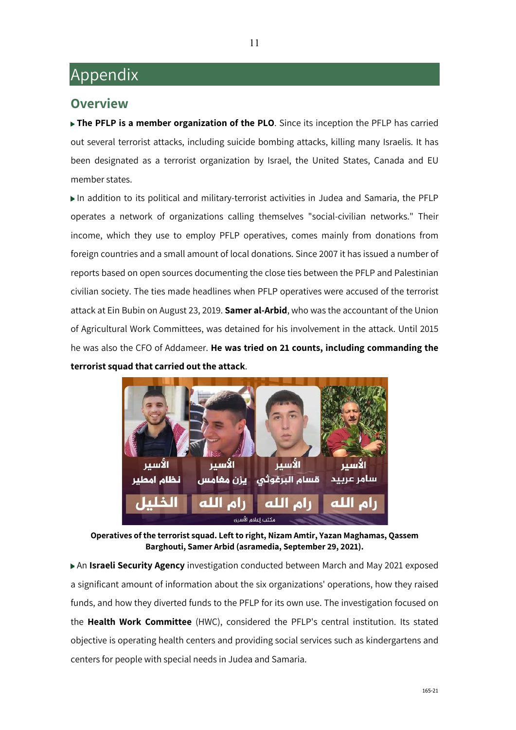## Appendix

### **Overview**

▶ The PFLP is a member organization of the PLO. Since its inception the PFLP has carried out several terrorist attacks, including suicide bombing attacks, killing many Israelis. It has been designated as a terrorist organization by Israel, the United States, Canada and EU member states.

In addition to its political and military-terrorist activities in Judea and Samaria, the PFLP operates a network of organizations calling themselves "social-civilian networks." Their income, which they use to employ PFLP operatives, comes mainly from donations from foreign countries and a small amount of local donations. Since 2007 it has issued a number of reports based on open sources documenting the close ties between the PFLP and Palestinian civilian society. The ties made headlines when PFLP operatives were accused of the terrorist attack at Ein Bubin on August 23, 2019. **Samer al-Arbid**, who was the accountant of the Union of Agricultural Work Committees, was detained for his involvement in the attack. Until 2015 he was also the CFO of Addameer. **He was tried on 21 counts, including commanding the terrorist squad that carried out the attack**.



**Operatives of the terrorist squad. Left to right, Nizam Amtir, Yazan Maghamas, Qassem Barghouti, Samer Arbid (asramedia, September 29, 2021).**

An **Israeli Security Agency** investigation conducted between March and May 2021 exposed a significant amount of information about the six organizations' operations, how they raised funds, and how they diverted funds to the PFLP for its own use. The investigation focused on the **Health Work Committee** (HWC), considered the PFLP's central institution. Its stated objective is operating health centers and providing social services such as kindergartens and centers for people with special needs in Judea and Samaria.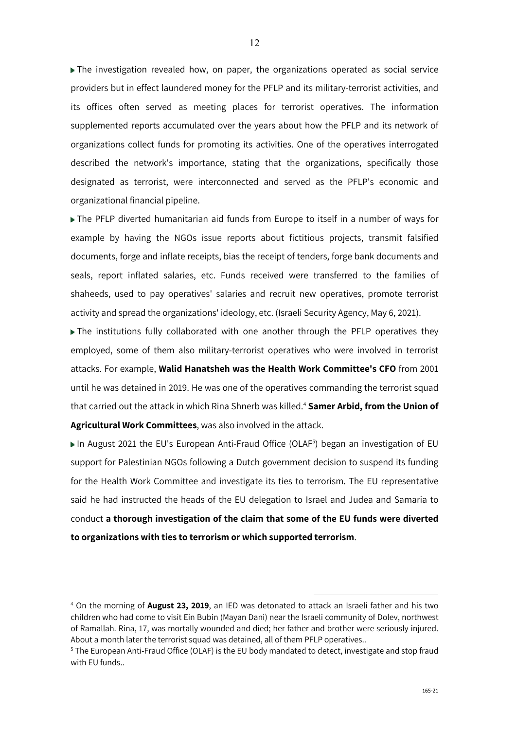The investigation revealed how, on paper, the organizations operated as social service providers but in effect laundered money for the PFLP and its military-terrorist activities, and its offices often served as meeting places for terrorist operatives. The information supplemented reports accumulated over the years about how the PFLP and its network of organizations collect funds for promoting its activities. One of the operatives interrogated described the network's importance, stating that the organizations, specifically those designated as terrorist, were interconnected and served as the PFLP's economic and organizational financial pipeline.

The PFLP diverted humanitarian aid funds from Europe to itself in a number of ways for example by having the NGOs issue reports about fictitious projects, transmit falsified documents, forge and inflate receipts, bias the receipt of tenders, forge bank documents and seals, report inflated salaries, etc. Funds received were transferred to the families of shaheeds, used to pay operatives' salaries and recruit new operatives, promote terrorist activity and spread the organizations' ideology, etc. (Israeli Security Agency, May 6, 2021).

The institutions fully collaborated with one another through the PFLP operatives they employed, some of them also military-terrorist operatives who were involved in terrorist attacks. For example, **Walid Hanatsheh was the Health Work Committee's CFO** from 2001 until he was detained in 2019. He was one of the operatives commanding the terrorist squad that carried out the attack in which Rina Shnerb was killed.4 **Samer Arbid, from the Union of Agricultural Work Committees**, was also involved in the attack.

In August 2021 the EU's European Anti-Fraud Office (OLAF<sup>5</sup>) began an investigation of EU support for Palestinian NGOs following a Dutch government decision to suspend its funding for the Health Work Committee and investigate its ties to terrorism. The EU representative said he had instructed the heads of the EU delegation to Israel and Judea and Samaria to conduct **a thorough investigation of the claim that some of the EU funds were diverted to organizations with ties to terrorism or which supported terrorism**.

<sup>4</sup> On the morning of **August 23, 2019**, an IED was detonated to attack an Israeli father and his two children who had come to visit Ein Bubin (Mayan Dani) near the Israeli community of Dolev, northwest of Ramallah. Rina, 17, was mortally wounded and died; her father and brother were seriously injured. About a month later the terrorist squad was detained, all of them PFLP operatives..

<sup>5</sup> The European Anti-Fraud Office (OLAF) is the EU body mandated to detect, investigate and stop fraud with EU funds..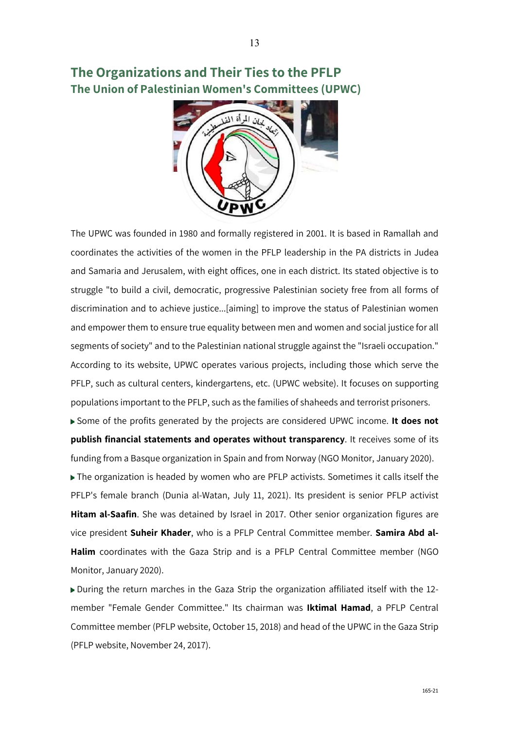**The Organizations and Their Ties to the PFLP The Union of Palestinian Women's Committees (UPWC)**



The UPWC was founded in 1980 and formally registered in 2001. It is based in Ramallah and coordinates the activities of the women in the PFLP leadership in the PA districts in Judea and Samaria and Jerusalem, with eight offices, one in each district. Its stated objective is to struggle "to build a civil, democratic, progressive Palestinian society free from all forms of discrimination and to achieve justice...[aiming] to improve the status of Palestinian women and empower them to ensure true equality between men and women and social justice for all segments of society" and to the Palestinian national struggle against the "Israeli occupation." According to its website, UPWC operates various projects, including those which serve the PFLP, such as cultural centers, kindergartens, etc. (UPWC website). It focuses on supporting populations important to the PFLP, such as the families of shaheeds and terrorist prisoners.

Some of the profits generated by the projects are considered UPWC income. **It does not publish financial statements and operates without transparency**. It receives some of its funding from a Basque organization in Spain and from Norway (NGO Monitor, January 2020).

The organization is headed by women who are PFLP activists. Sometimes it calls itself the PFLP's female branch (Dunia al-Watan, July 11, 2021). Its president is senior PFLP activist **Hitam al-Saafin**. She was detained by Israel in 2017. Other senior organization figures are vice president **Suheir Khader**, who is a PFLP Central Committee member. **Samira Abd al-Halim** coordinates with the Gaza Strip and is a PFLP Central Committee member (NGO Monitor, January 2020).

During the return marches in the Gaza Strip the organization affiliated itself with the 12 member "Female Gender Committee." Its chairman was **Iktimal Hamad**, a PFLP Central Committee member (PFLP website, October 15, 2018) and head of the UPWC in the Gaza Strip (PFLP website, November 24, 2017).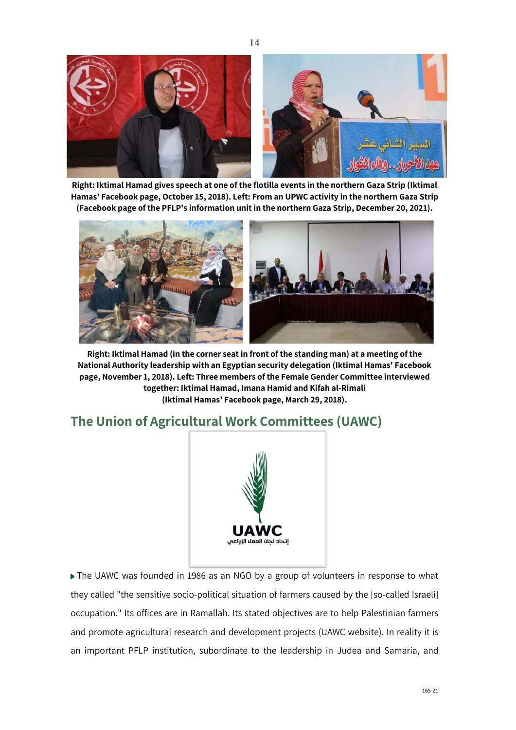

14

**Right: Iktimal Hamad gives speech at one of the flotilla events in the northern Gaza Strip (Iktimal Hamas' Facebook page, October 15, 2018). Left: From an UPWC activity in the northern Gaza Strip (Facebook page of the PFLP's information unit in the northern Gaza Strip, December 20, 2021).**



**Right: Iktimal Hamad (in the corner seat in front of the standing man) at a meeting of the National Authority leadership with an Egyptian security delegation (Iktimal Hamas' Facebook page, November 1, 2018). Left: Three members of the Female Gender Committee interviewed together: Iktimal Hamad, Imana Hamid and Kifah al-Rimali (Iktimal Hamas' Facebook page, March 29, 2018).**

### **The Union of Agricultural Work Committees (UAWC)**



▶ The UAWC was founded in 1986 as an NGO by a group of volunteers in response to what they called "the sensitive socio-political situation of farmers caused by the [so-called Israeli] occupation." Its offices are in Ramallah. Its stated objectives are to help Palestinian farmers and promote agricultural research and development projects (UAWC website). In reality it is an important PFLP institution, subordinate to the leadership in Judea and Samaria, and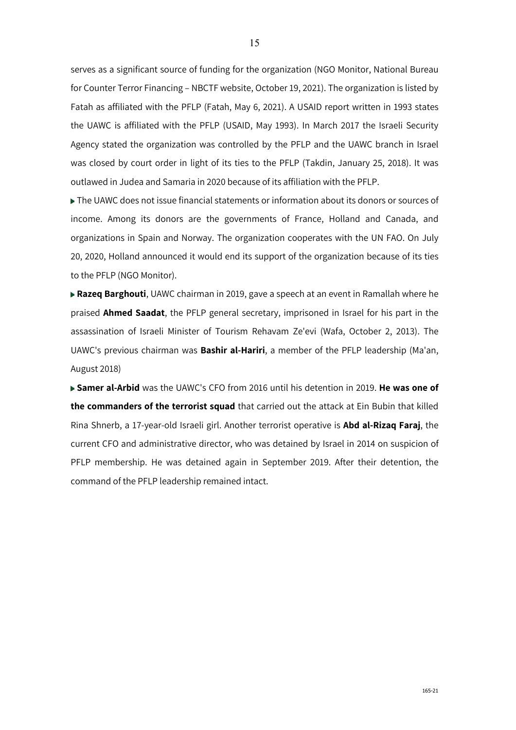serves as a significant source of funding for the organization (NGO Monitor, National Bureau for Counter Terror Financing – NBCTF website, October 19, 2021). The organization is listed by Fatah as affiliated with the PFLP (Fatah, May 6, 2021). A USAID report written in 1993 states the UAWC is affiliated with the PFLP (USAID, May 1993). In March 2017 the Israeli Security Agency stated the organization was controlled by the PFLP and the UAWC branch in Israel was closed by court order in light of its ties to the PFLP (Takdin, January 25, 2018). It was outlawed in Judea and Samaria in 2020 because of its affiliation with the PFLP.

The UAWC does not issue financial statements or information about its donors or sources of income. Among its donors are the governments of France, Holland and Canada, and organizations in Spain and Norway. The organization cooperates with the UN FAO. On July 20, 2020, Holland announced it would end its support of the organization because of its ties to the PFLP (NGO Monitor).

**Razeq Barghouti**, UAWC chairman in 2019, gave a speech at an event in Ramallah where he praised **Ahmed Saadat**, the PFLP general secretary, imprisoned in Israel for his part in the assassination of Israeli Minister of Tourism Rehavam Ze'evi (Wafa, October 2, 2013). The UAWC's previous chairman was **Bashir al-Hariri**, a member of the PFLP leadership (Ma'an, August 2018)

**Samer al-Arbid** was the UAWC's CFO from 2016 until his detention in 2019. **He was one of the commanders of the terrorist squad** that carried out the attack at Ein Bubin that killed Rina Shnerb, a 17-year-old Israeli girl. Another terrorist operative is **Abd al-Rizaq Faraj**, the current CFO and administrative director, who was detained by Israel in 2014 on suspicion of PFLP membership. He was detained again in September 2019. After their detention, the command of the PFLP leadership remained intact.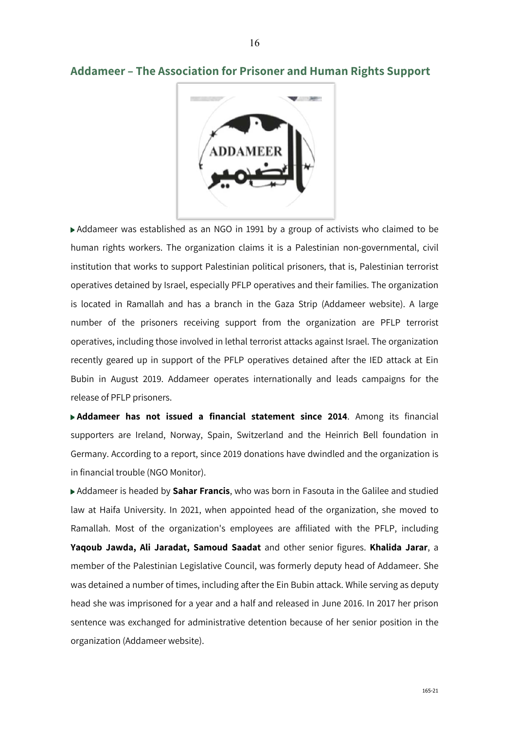

### **Addameer – The Association for Prisoner and Human Rights Support**

Addameer was established as an NGO in 1991 by a group of activists who claimed to be human rights workers. The organization claims it is a Palestinian non-governmental, civil institution that works to support Palestinian political prisoners, that is, Palestinian terrorist operatives detained by Israel, especially PFLP operatives and their families. The organization is located in Ramallah and has a branch in the Gaza Strip (Addameer website). A large number of the prisoners receiving support from the organization are PFLP terrorist operatives, including those involved in lethal terrorist attacks against Israel. The organization recently geared up in support of the PFLP operatives detained after the IED attack at Ein Bubin in August 2019. Addameer operates internationally and leads campaigns for the release of PFLP prisoners.

**Addameer has not issued a financial statement since 2014**. Among its financial supporters are Ireland, Norway, Spain, Switzerland and the Heinrich Bell foundation in Germany. According to a report, since 2019 donations have dwindled and the organization is in financial trouble (NGO Monitor).

Addameer is headed by **Sahar Francis**, who was born in Fasouta in the Galilee and studied law at Haifa University. In 2021, when appointed head of the organization, she moved to Ramallah. Most of the organization's employees are affiliated with the PFLP, including **Yaqoub Jawda, Ali Jaradat, Samoud Saadat** and other senior figures. **Khalida Jarar**, a member of the Palestinian Legislative Council, was formerly deputy head of Addameer. She was detained a number of times, including after the Ein Bubin attack. While serving as deputy head she was imprisoned for a year and a half and released in June 2016. In 2017 her prison sentence was exchanged for administrative detention because of her senior position in the organization (Addameer website).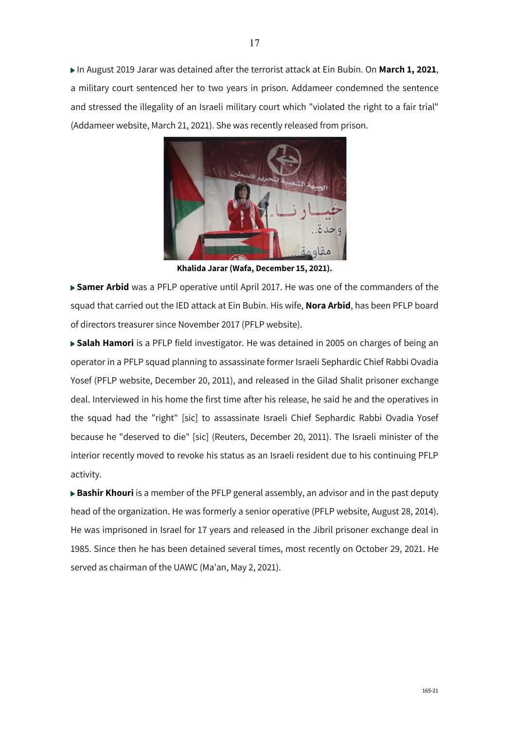In August 2019 Jarar was detained after the terrorist attack at Ein Bubin. On **March 1, 2021**, a military court sentenced her to two years in prison. Addameer condemned the sentence and stressed the illegality of an Israeli military court which "violated the right to a fair trial" (Addameer website, March 21, 2021). She was recently released from prison.



**Khalida Jarar (Wafa, December 15, 2021).**

**Samer Arbid** was a PFLP operative until April 2017. He was one of the commanders of the squad that carried out the IED attack at Ein Bubin. His wife, **Nora Arbid**, has been PFLP board of directors treasurer since November 2017 (PFLP website).

**Salah Hamori** is a PFLP field investigator. He was detained in 2005 on charges of being an operator in a PFLP squad planning to assassinate former Israeli Sephardic Chief Rabbi Ovadia Yosef (PFLP website, December 20, 2011), and released in the Gilad Shalit prisoner exchange deal. Interviewed in his home the first time after his release, he said he and the operatives in the squad had the "right" [sic] to assassinate Israeli Chief Sephardic Rabbi Ovadia Yosef because he "deserved to die" [sic] (Reuters, December 20, 2011). The Israeli minister of the interior recently moved to revoke his status as an Israeli resident due to his continuing PFLP activity.

**Bashir Khouri** is a member of the PFLP general assembly, an advisor and in the past deputy head of the organization. He was formerly a senior operative (PFLP website, August 28, 2014). He was imprisoned in Israel for 17 years and released in the Jibril prisoner exchange deal in 1985. Since then he has been detained several times, most recently on October 29, 2021. He served as chairman of the UAWC (Ma'an, May 2, 2021).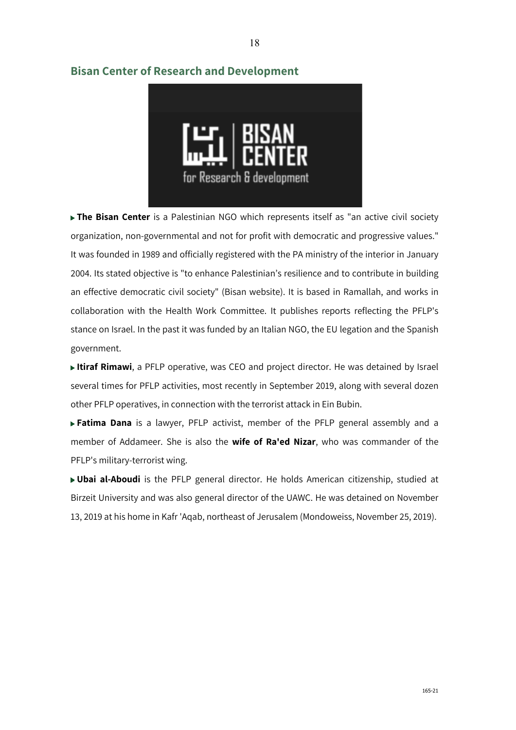

18

### **Bisan Center of Research and Development**

**The Bisan Center** is a Palestinian NGO which represents itself as "an active civil society organization, non-governmental and not for profit with democratic and progressive values." It was founded in 1989 and officially registered with the PA ministry of the interior in January 2004. Its stated objective is "to enhance Palestinian's resilience and to contribute in building an effective democratic civil society" (Bisan website). It is based in Ramallah, and works in collaboration with the Health Work Committee. It publishes reports reflecting the PFLP's stance on Israel. In the past it was funded by an Italian NGO, the EU legation and the Spanish government.

**Itiraf Rimawi**, a PFLP operative, was CEO and project director. He was detained by Israel several times for PFLP activities, most recently in September 2019, along with several dozen other PFLP operatives, in connection with the terrorist attack in Ein Bubin.

**Fatima Dana** is a lawyer, PFLP activist, member of the PFLP general assembly and a member of Addameer. She is also the **wife of Ra'ed Nizar**, who was commander of the PFLP's military-terrorist wing.

**Ubai al-Aboudi** is the PFLP general director. He holds American citizenship, studied at Birzeit University and was also general director of the UAWC. He was detained on November 13, 2019 at his home in Kafr 'Aqab, northeast of Jerusalem (Mondoweiss, November 25, 2019).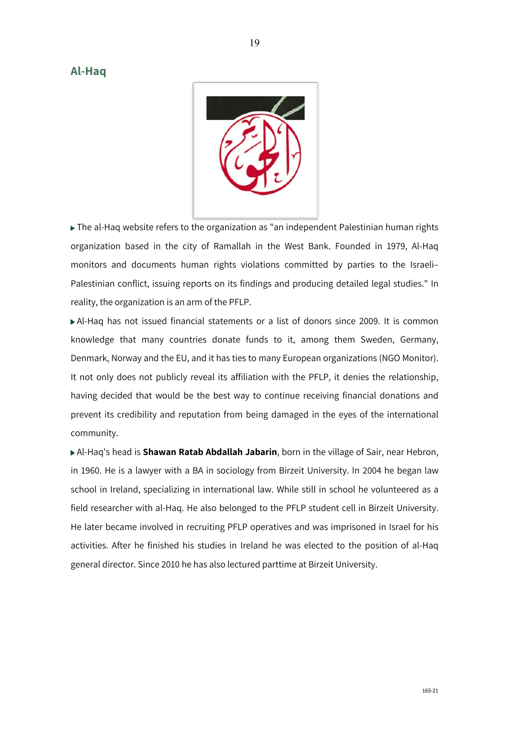#### **Al-Haq**



The al-Haq website refers to the organization as "an independent Palestinian human rights organization based in the city of Ramallah in the West Bank. Founded in 1979, Al-Haq monitors and documents human rights violations committed by parties to the Israeli– Palestinian conflict, issuing reports on its findings and producing detailed legal studies." In reality, the organization is an arm of the PFLP.

Al-Haq has not issued financial statements or a list of donors since 2009. It is common knowledge that many countries donate funds to it, among them Sweden, Germany, Denmark, Norway and the EU, and it has ties to many European organizations (NGO Monitor). It not only does not publicly reveal its affiliation with the PFLP, it denies the relationship, having decided that would be the best way to continue receiving financial donations and prevent its credibility and reputation from being damaged in the eyes of the international community.

Al-Haq's head is **Shawan Ratab Abdallah Jabarin**, born in the village of Sair, near Hebron, in 1960. He is a lawyer with a BA in sociology from Birzeit University. In 2004 he began law school in Ireland, specializing in international law. While still in school he volunteered as a field researcher with al-Haq. He also belonged to the PFLP student cell in Birzeit University. He later became involved in recruiting PFLP operatives and was imprisoned in Israel for his activities. After he finished his studies in Ireland he was elected to the position of al-Haq general director. Since 2010 he has also lectured parttime at Birzeit University.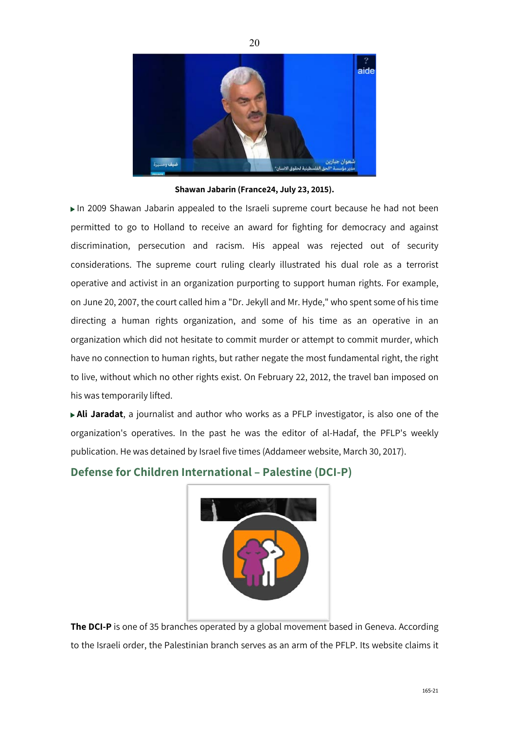

**Shawan Jabarin (France24, July 23, 2015).**

In 2009 Shawan Jabarin appealed to the Israeli supreme court because he had not been permitted to go to Holland to receive an award for fighting for democracy and against discrimination, persecution and racism. His appeal was rejected out of security considerations. The supreme court ruling clearly illustrated his dual role as a terrorist operative and activist in an organization purporting to support human rights. For example, on June 20, 2007, the court called him a "Dr. Jekyll and Mr. Hyde," who spent some of his time directing a human rights organization, and some of his time as an operative in an organization which did not hesitate to commit murder or attempt to commit murder, which have no connection to human rights, but rather negate the most fundamental right, the right to live, without which no other rights exist. On February 22, 2012, the travel ban imposed on his was temporarily lifted.

**Ali Jaradat**, a journalist and author who works as a PFLP investigator, is also one of the organization's operatives. In the past he was the editor of al-Hadaf, the PFLP's weekly publication. He was detained by Israel five times (Addameer website, March 30, 2017).

#### **Defense for Children International – Palestine (DCI-P)**



**The DCI-P** is one of 35 branches operated by a global movement based in Geneva. According to the Israeli order, the Palestinian branch serves as an arm of the PFLP. Its website claims it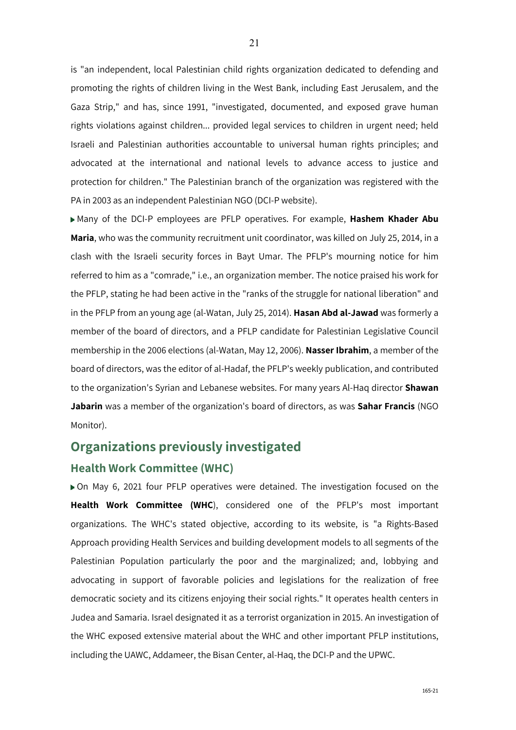is "an independent, local Palestinian child rights organization dedicated to defending and promoting the rights of children living in the West Bank, including East Jerusalem, and the Gaza Strip," and has, since 1991, "investigated, documented, and exposed grave human rights violations against children... provided legal services to children in urgent need; held Israeli and Palestinian authorities accountable to universal human rights principles; and advocated at the international and national levels to advance access to justice and protection for children." The Palestinian branch of the organization was registered with the PA in 2003 as an independent Palestinian NGO (DCI-P website).

Many of the DCI-P employees are PFLP operatives. For example, **Hashem Khader Abu Maria**, who was the community recruitment unit coordinator, was killed on July 25, 2014, in a clash with the Israeli security forces in Bayt Umar. The PFLP's mourning notice for him referred to him as a "comrade," i.e., an organization member. The notice praised his work for the PFLP, stating he had been active in the "ranks of the struggle for national liberation" and in the PFLP from an young age (al-Watan, July 25, 2014). **Hasan Abd al-Jawad** was formerly a member of the board of directors, and a PFLP candidate for Palestinian Legislative Council membership in the 2006 elections (al-Watan, May 12, 2006). **Nasser Ibrahim**, a member of the board of directors, was the editor of al-Hadaf, the PFLP's weekly publication, and contributed to the organization's Syrian and Lebanese websites. For many years Al-Haq director **Shawan Jabarin** was a member of the organization's board of directors, as was **Sahar Francis** (NGO Monitor).

# **Organizations previously investigated**

### **Health Work Committee (WHC)**

On May 6, 2021 four PFLP operatives were detained. The investigation focused on the **Health Work Committee (WHC**), considered one of the PFLP's most important organizations. The WHC's stated objective, according to its website, is "a Rights-Based Approach providing Health Services and building development models to all segments of the Palestinian Population particularly the poor and the marginalized; and, lobbying and advocating in support of favorable policies and legislations for the realization of free democratic society and its citizens enjoying their social rights." It operates health centers in Judea and Samaria. Israel designated it as a terrorist organization in 2015. An investigation of the WHC exposed extensive material about the WHC and other important PFLP institutions, including the UAWC, Addameer, the Bisan Center, al-Haq, the DCI-P and the UPWC.